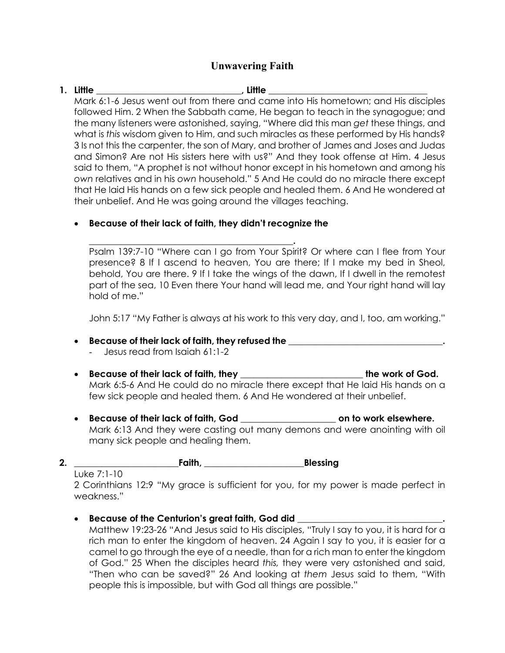# **Unwavering Faith**

## **1. Little \_\_\_\_\_\_\_\_\_\_\_\_\_\_\_\_\_\_\_\_\_\_\_\_\_\_\_\_\_\_\_\_, Little \_\_\_\_\_\_\_\_\_\_\_\_\_\_\_\_\_\_\_\_\_\_\_\_\_\_\_\_\_\_\_\_\_\_\_**

Mark 6:1-6 Jesus went out from there and came into His hometown; and His disciples followed Him. 2 When the Sabbath came, He began to teach in the synagogue; and the many listeners were astonished, saying, "Where did this man *get* these things, and what is *this* wisdom given to Him, and such miracles as these performed by His hands? 3 Is not this the carpenter, the son of Mary, and brother of James and Joses and Judas and Simon? Are not His sisters here with us?" And they took offense at Him. 4 Jesus said to them, "A prophet is not without honor except in his hometown and among his *own* relatives and in his *own* household." 5 And He could do no miracle there except that He laid His hands on a few sick people and healed them. 6 And He wondered at their unbelief. And He was going around the villages teaching.

## • **Because of their lack of faith, they didn't recognize the**

**\_\_\_\_\_\_\_\_\_\_\_\_\_\_\_\_\_\_\_\_\_\_\_\_\_\_\_\_\_\_\_\_\_\_\_\_\_\_\_\_\_\_\_\_\_.** Psalm 139:7-10 "Where can I go from Your Spirit? Or where can I flee from Your presence? 8 If I ascend to heaven, You are there; If I make my bed in Sheol, behold, You are there. 9 If I take the wings of the dawn, If I dwell in the remotest part of the sea, 10 Even there Your hand will lead me, and Your right hand will lay hold of me."

John 5:17 "My Father is always at his work to this very day, and I, too, am working."

### • **Because of their lack of faith, they refused the \_\_\_\_\_\_\_\_\_\_\_\_\_\_\_\_\_\_\_\_\_\_\_\_\_\_\_\_\_\_\_\_\_\_.**

- Jesus read from Isaiah 61:1-2
- **Because of their lack of faith, they \_\_\_\_\_\_\_\_\_\_\_\_\_\_\_\_\_\_\_\_\_\_\_\_\_\_\_ the work of God.** Mark 6:5-6 And He could do no miracle there except that He laid His hands on a few sick people and healed them. 6 And He wondered at their unbelief.
- **Because of their lack of faith, God \_\_\_\_\_\_\_\_\_\_\_\_\_\_\_\_\_\_\_\_\_ on to work elsewhere.** Mark 6:13 And they were casting out many demons and were anointing with oil many sick people and healing them.
- **2. \_\_\_\_\_\_\_\_\_\_\_\_\_\_\_\_\_\_\_\_\_\_\_Faith, \_\_\_\_\_\_\_\_\_\_\_\_\_\_\_\_\_\_\_\_\_\_Blessing**

Luke 7:1-10

2 Corinthians 12:9 "My grace is sufficient for you, for my power is made perfect in weakness."

### • **Because of the Centurion's great faith, God did \_\_\_\_\_\_\_\_\_\_\_\_\_\_\_\_\_\_\_\_\_\_\_\_\_\_\_\_\_\_\_\_.**

Matthew 19:23-26 "And Jesus said to His disciples, "Truly I say to you, it is hard for a rich man to enter the kingdom of heaven. 24 Again I say to you, it is easier for a camel to go through the eye of a needle, than for a rich man to enter the kingdom of God." 25 When the disciples heard *this,* they were very astonished and said, "Then who can be saved?" 26 And looking at *them* Jesus said to them, "With people this is impossible, but with God all things are possible."